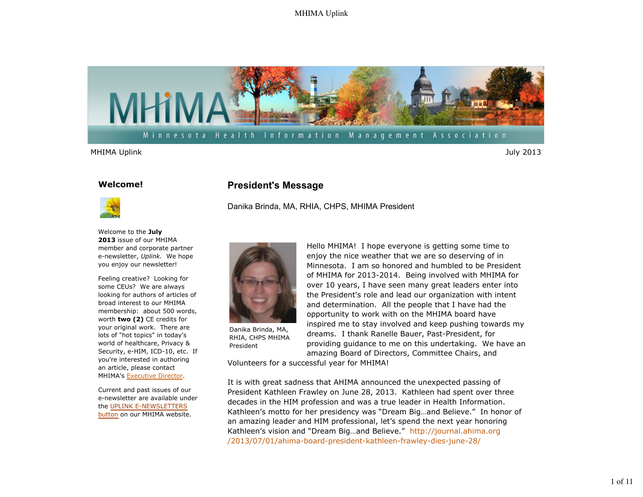

#### **Welcome!**



Welcome to the **July 2013** issue of our MHIMA member and corporate partner e-newsletter, *Uplink.* We hope you enjoy our newsletter!

Feeling creative? Looking for some CEUs? We are always looking for authors of articles of broad interest to our MHIMA membership: about 500 words, worth **two (2)** CE credits for your original work. There are lots of "hot topics" in today's world of healthcare, Privacy & Security, e-HIM, ICD-10, etc. If you're interested in authoring an article, please contact MHIMA's Executive Director.

Current and past issues of our e-newsletter are available under the UPLINK E-NEWSLETTERS button on our MHIMA website.

### **President's Message**

Danika Brinda, MA, RHIA, CHPS, MHIMA President



Danika Brinda, MA, RHIA, CHPS MHIMA President

Hello MHIMA! I hope everyone is getting some time to enjoy the nice weather that we are so deserving of in Minnesota. I am so honored and humbled to be President of MHIMA for 2013-2014. Being involved with MHIMA for over 10 years, I have seen many great leaders enter into the President's role and lead our organization with intent and determination. All the people that I have had the opportunity to work with on the MHIMA board have inspired me to stay involved and keep pushing towards my dreams. I thank Ranelle Bauer, Past-President, for providing guidance to me on this undertaking. We have an amazing Board of Directors, Committee Chairs, and

Volunteers for a successful year for MHIMA!

It is with great sadness that AHIMA announced the unexpected passing of President Kathleen Frawley on June 28, 2013. Kathleen had spent over three decades in the HIM profession and was a true leader in Health Information. Kathleen's motto for her presidency was "Dream Big…and Believe." In honor of an amazing leader and HIM professional, let's spend the next year honoring Kathleen's vision and "Dream Big…and Believe." http://journal.ahima.org /2013/07/01/ahima-board-president-kathleen-frawley-dies-june-28/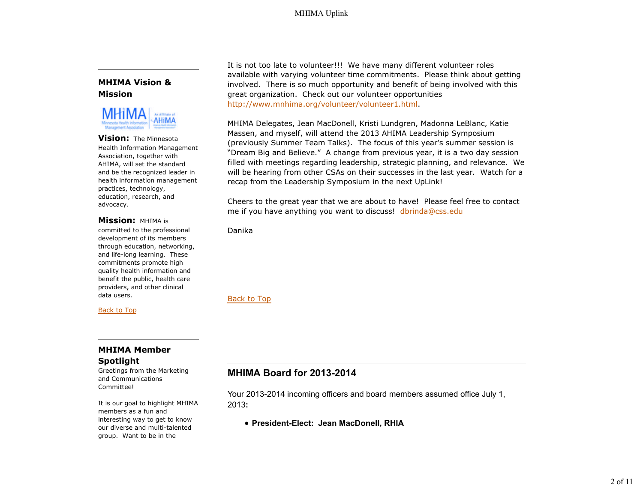### **MHIMA Vision & Mission**



**Vision:** The Minnesota Health Information Management Association, together with AHIMA, will set the standard and be the recognized leader in health information management practices, technology, education, research, and advocacy.

### **Mission:** MHIMA is

committed to the professional development of its members through education, networking, and life-long learning. These commitments promote high quality health information and benefit the public, health care providers, and other clinical data users.

Back to Top

### **MHIMA Member Spotlight**

Greetings from the Marketing and Communications Committee!

It is our goal to highlight MHIMA members as a fun and interesting way to get to know our diverse and multi-talented group. Want to be in the

It is not too late to volunteer!!! We have many different volunteer roles available with varying volunteer time commitments. Please think about getting involved. There is so much opportunity and benefit of being involved with this great organization. Check out our volunteer opportunities http://www.mnhima.org/volunteer/volunteer1.html.

MHIMA Delegates, Jean MacDonell, Kristi Lundgren, Madonna LeBlanc, Katie Massen, and myself, will attend the 2013 AHIMA Leadership Symposium (previously Summer Team Talks). The focus of this year's summer session is "Dream Big and Believe." A change from previous year, it is a two day session filled with meetings regarding leadership, strategic planning, and relevance. We will be hearing from other CSAs on their successes in the last year. Watch for a recap from the Leadership Symposium in the next UpLink!

Cheers to the great year that we are about to have! Please feel free to contact me if you have anything you want to discuss! dbrinda@css.edu

Danika

Back to Top

# **MHIMA Board for 2013-2014**

Your 2013-2014 incoming officers and board members assumed office July 1, 2013**:** 

**President-Elect: Jean MacDonell, RHIA**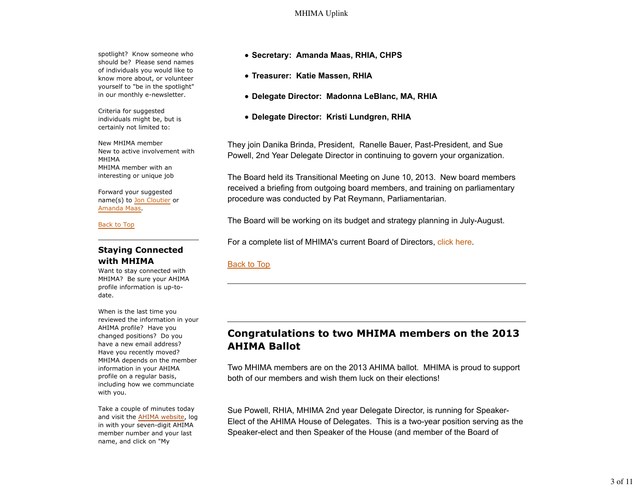spotlight? Know someone who should be? Please send names of individuals you would like to know more about, or volunteer yourself to "be in the spotlight" in our monthly e-newsletter.

Criteria for suggested individuals might be, but is certainly not limited to:

New MHIMA member New to active involvement with MHIMA MHIMA member with an interesting or unique job

Forward your suggested name(s) to Jon Cloutier or Amanda Maas.

Back to Top

### **Staying Connected with MHIMA**

Want to stay connected with MHIMA? Be sure your AHIMA profile information is up-todate.

When is the last time you reviewed the information in your AHIMA profile? Have you changed positions? Do you have a new email address? Have you recently moved? MHIMA depends on the member information in your AHIMA profile on a regular basis, including how we communciate with you.

Take a couple of minutes today and visit the AHIMA website, log in with your seven-digit AHIMA member number and your last name, and click on "My

- **Secretary: Amanda Maas, RHIA, CHPS**
- **Treasurer: Katie Massen, RHIA**
- **Delegate Director: Madonna LeBlanc, MA, RHIA**
- **Delegate Director: Kristi Lundgren, RHIA**

They join Danika Brinda, President, Ranelle Bauer, Past-President, and Sue Powell, 2nd Year Delegate Director in continuing to govern your organization.

The Board held its Transitional Meeting on June 10, 2013. New board members received a briefing from outgoing board members, and training on parliamentary procedure was conducted by Pat Reymann, Parliamentarian.

The Board will be working on its budget and strategy planning in July-August.

For a complete list of MHIMA's current Board of Directors, click here.

### Back to Top

# **Congratulations to two MHIMA members on the 2013 AHIMA Ballot**

Two MHIMA members are on the 2013 AHIMA ballot. MHIMA is proud to support both of our members and wish them luck on their elections!

Sue Powell, RHIA, MHIMA 2nd year Delegate Director, is running for Speaker-Elect of the AHIMA House of Delegates. This is a two-year position serving as the Speaker-elect and then Speaker of the House (and member of the Board of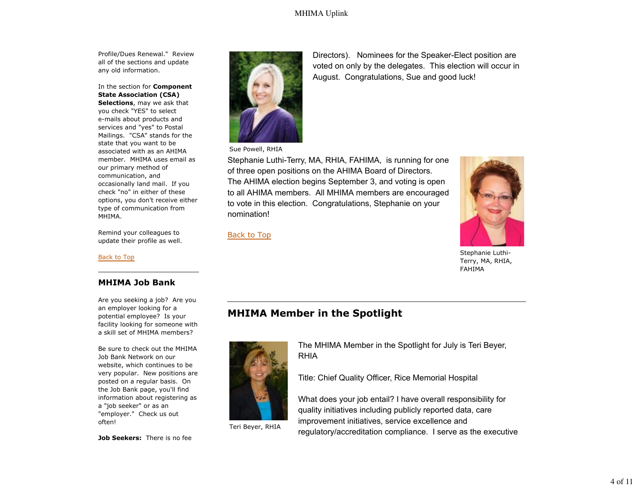Profile/Dues Renewal." Review all of the sections and update any old information.

In the section for **Component State Association (CSA)**

**Selections**, may we ask that you check "YES" to select e-mails about products and services and "yes" to Postal Mailings. "CSA" stands for the state that you want to be associated with as an AHIMA member. MHIMA uses email as our primary method of communication, and occasionally land mail. If you check "no" in either of these options, you don't receive either type of communication from MHIMA.

Remind your colleagues to update their profile as well.

Back to Top

### **MHIMA Job Bank**

Are you seeking a job? Are you an employer looking for a potential employee? Is your facility looking for someone with a skill set of MHIMA members?

Be sure to check out the MHIMA Job Bank Network on our website, which continues to be very popular. New positions are posted on a regular basis. On the Job Bank page, you'll find information about registering as a "job seeker" or as an "employer." Check us out often!

**Job Seekers:** There is no fee



Sue Powell, RHIA

Stephanie Luthi-Terry, MA, RHIA, FAHIMA, is running for one of three open positions on the AHIMA Board of Directors. The AHIMA election begins September 3, and voting is open to all AHIMA members. All MHIMA members are encouraged to vote in this election. Congratulations, Stephanie on your nomination!

Back to Top

Directors). Nominees for the Speaker-Elect position are voted on only by the delegates. This election will occur in August. Congratulations, Sue and good luck!



Stephanie Luthi-Terry, MA, RHIA, FAHIMA

# **MHIMA Member in the Spotlight**



Teri Beyer, RHIA

The MHIMA Member in the Spotlight for July is Teri Beyer, RHIA

Title: Chief Quality Officer, Rice Memorial Hospital

What does your job entail? I have overall responsibility for quality initiatives including publicly reported data, care improvement initiatives, service excellence and regulatory/accreditation compliance. I serve as the executive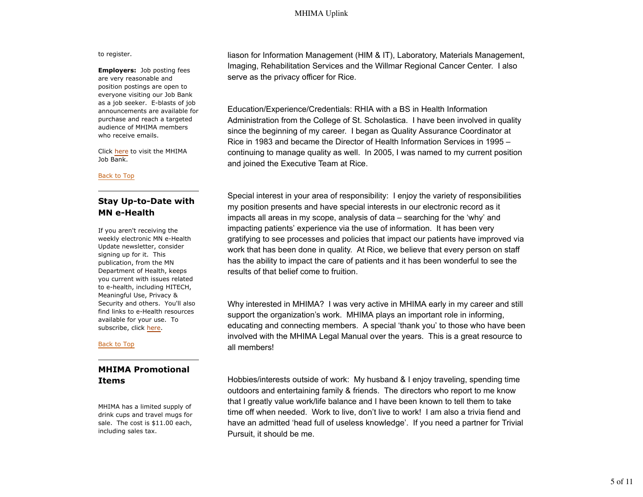#### to register.

**Employers:** Job posting fees are very reasonable and position postings are open to everyone visiting our Job Bank as a job seeker. E-blasts of job announcements are available for purchase and reach a targeted audience of MHIMA members who receive emails.

Click here to visit the MHIMA Job Bank.

#### Back to Top

## **Stay Up-to-Date with MN e-Health**

If you aren't receiving the weekly electronic MN e-Health Update newsletter, consider signing up for it. This publication, from the MN Department of Health, keeps you current with issues related to e-health, including HITECH, Meaningful Use, Privacy & Security and others. You'll also find links to e-Health resources available for your use. To subscribe, click here.

#### Back to Top

## **MHIMA Promotional Items**

MHIMA has a limited supply of drink cups and travel mugs for sale. The cost is \$11.00 each, including sales tax.

liason for Information Management (HIM & IT), Laboratory, Materials Management, Imaging, Rehabilitation Services and the Willmar Regional Cancer Center. I also serve as the privacy officer for Rice.

Education/Experience/Credentials: RHIA with a BS in Health Information Administration from the College of St. Scholastica. I have been involved in quality since the beginning of my career. I began as Quality Assurance Coordinator at Rice in 1983 and became the Director of Health Information Services in 1995 – continuing to manage quality as well. In 2005, I was named to my current position and joined the Executive Team at Rice.

Special interest in your area of responsibility: I enjoy the variety of responsibilities my position presents and have special interests in our electronic record as it impacts all areas in my scope, analysis of data – searching for the 'why' and impacting patients' experience via the use of information. It has been very gratifying to see processes and policies that impact our patients have improved via work that has been done in quality. At Rice, we believe that every person on staff has the ability to impact the care of patients and it has been wonderful to see the results of that belief come to fruition.

Why interested in MHIMA? I was very active in MHIMA early in my career and still support the organization's work. MHIMA plays an important role in informing, educating and connecting members. A special 'thank you' to those who have been involved with the MHIMA Legal Manual over the years. This is a great resource to all members!

Hobbies/interests outside of work: My husband & I enjoy traveling, spending time outdoors and entertaining family & friends. The directors who report to me know that I greatly value work/life balance and I have been known to tell them to take time off when needed. Work to live, don't live to work! I am also a trivia fiend and have an admitted 'head full of useless knowledge'. If you need a partner for Trivial Pursuit, it should be me.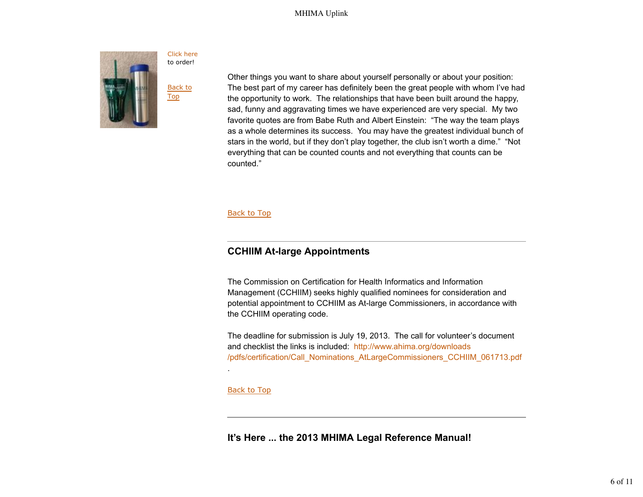

Other things you want to share about yourself personally or about your position: The best part of my career has definitely been the great people with whom I've had the opportunity to work. The relationships that have been built around the happy, sad, funny and aggravating times we have experienced are very special. My two favorite quotes are from Babe Ruth and Albert Einstein: "The way the team plays as a whole determines its success. You may have the greatest individual bunch of stars in the world, but if they don't play together, the club isn't worth a dime." "Not everything that can be counted counts and not everything that counts can be counted."

#### **Back to Top**

## **CCHIIM At-large Appointments**

The Commission on Certification for Health Informatics and Information Management (CCHIIM) seeks highly qualified nominees for consideration and potential appointment to CCHIIM as At-large Commissioners, in accordance with the CCHIIM operating code.

The deadline for submission is July 19, 2013. The call for volunteer's document and checklist the links is included: http://www.ahima.org/downloads /pdfs/certification/Call\_Nominations\_AtLargeCommissioners\_CCHIIM\_061713.pdf

### Back to Top

.

**It's Here ... the 2013 MHIMA Legal Reference Manual!**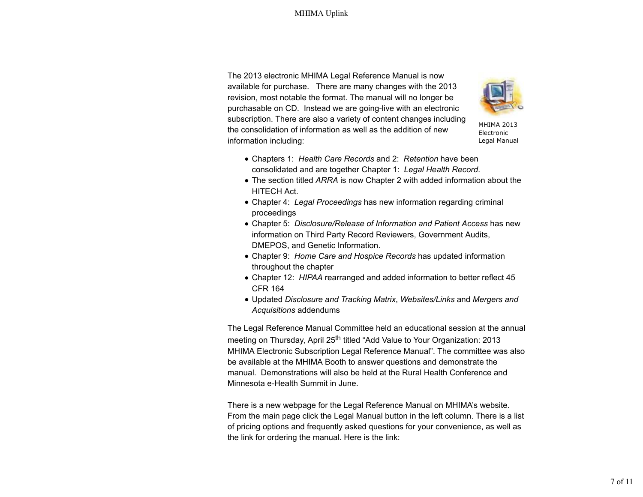The 2013 electronic MHIMA Legal Reference Manual is now available for purchase. There are many changes with the 2013 revision, most notable the format. The manual will no longer be purchasable on CD. Instead we are going-live with an electronic subscription. There are also a variety of content changes including the consolidation of information as well as the addition of new information including:



MHIMA 2013 Electronic Legal Manual

- Chapters 1: *Health Care Records* and 2: *Retention* have been consolidated and are together Chapter 1: *Legal Health Record*.
- The section titled *ARRA* is now Chapter 2 with added information about the HITECH Act.
- Chapter 4: *Legal Proceedings* has new information regarding criminal proceedings
- Chapter 5: *Disclosure/Release of Information and Patient Access* has new information on Third Party Record Reviewers, Government Audits, DMEPOS, and Genetic Information.
- Chapter 9: *Home Care and Hospice Records* has updated information throughout the chapter
- Chapter 12: *HIPAA* rearranged and added information to better reflect 45 CFR 164
- Updated *Disclosure and Tracking Matrix*, *Websites/Links* and *Mergers and Acquisitions* addendums

The Legal Reference Manual Committee held an educational session at the annual meeting on Thursday, April 25<sup>th</sup> titled "Add Value to Your Organization: 2013 MHIMA Electronic Subscription Legal Reference Manual". The committee was also be available at the MHIMA Booth to answer questions and demonstrate the manual. Demonstrations will also be held at the Rural Health Conference and Minnesota e-Health Summit in June.

There is a new webpage for the Legal Reference Manual on MHIMA's website. From the main page click the Legal Manual button in the left column. There is a list of pricing options and frequently asked questions for your convenience, as well as the link for ordering the manual. Here is the link: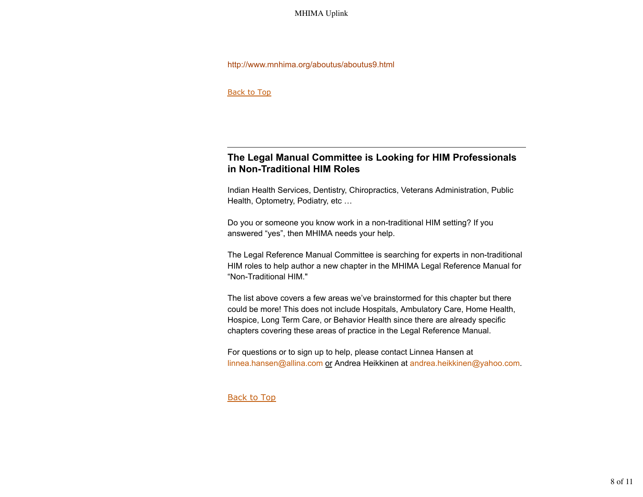#### http://www.mnhima.org/aboutus/aboutus9.html

Back to Top

# **The Legal Manual Committee is Looking for HIM Professionals in Non-Traditional HIM Roles**

Indian Health Services, Dentistry, Chiropractics, Veterans Administration, Public Health, Optometry, Podiatry, etc …

Do you or someone you know work in a non-traditional HIM setting? If you answered "yes", then MHIMA needs your help.

The Legal Reference Manual Committee is searching for experts in non-traditional HIM roles to help author a new chapter in the MHIMA Legal Reference Manual for "Non-Traditional HIM."

The list above covers a few areas we've brainstormed for this chapter but there could be more! This does not include Hospitals, Ambulatory Care, Home Health, Hospice, Long Term Care, or Behavior Health since there are already specific chapters covering these areas of practice in the Legal Reference Manual.

For questions or to sign up to help, please contact Linnea Hansen at linnea.hansen@allina.com or Andrea Heikkinen at andrea.heikkinen@yahoo.com.

Back to Top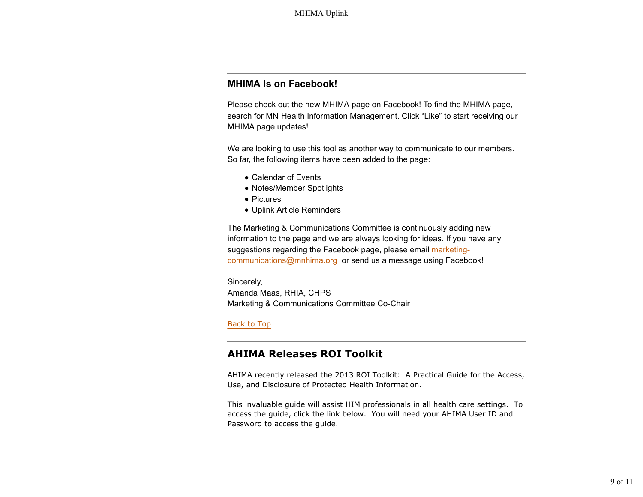# **MHIMA Is on Facebook!**

Please check out the new MHIMA page on Facebook! To find the MHIMA page, search for MN Health Information Management. Click "Like" to start receiving our MHIMA page updates!

We are looking to use this tool as another way to communicate to our members. So far, the following items have been added to the page:

- Calendar of Events
- Notes/Member Spotlights
- Pictures
- Uplink Article Reminders

The Marketing & Communications Committee is continuously adding new information to the page and we are always looking for ideas. If you have any suggestions regarding the Facebook page, please email marketingcommunications@mnhima.org or send us a message using Facebook!

Sincerely, Amanda Maas, RHIA, CHPS Marketing & Communications Committee Co-Chair

#### Back to Top

# **AHIMA Releases ROI Toolkit**

AHIMA recently released the 2013 ROI Toolkit: A Practical Guide for the Access, Use, and Disclosure of Protected Health Information.

This invaluable guide will assist HIM professionals in all health care settings. To access the guide, click the link below. You will need your AHIMA User ID and Password to access the guide.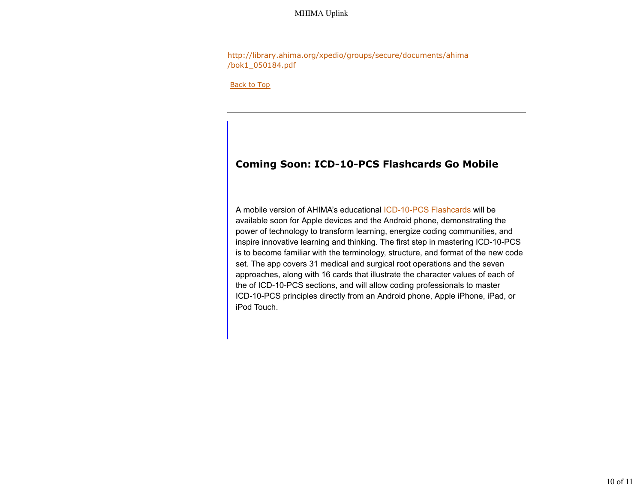http://library.ahima.org/xpedio/groups/secure/documents/ahima /bok1\_050184.pdf

Back to Top

# **Coming Soon: ICD-10-PCS Flashcards Go Mobile**

A mobile version of AHIMA's educational ICD-10-PCS Flashcards will be available soon for Apple devices and the Android phone, demonstrating the power of technology to transform learning, energize coding communities, and inspire innovative learning and thinking. The first step in mastering ICD-10-PCS is to become familiar with the terminology, structure, and format of the new code set. The app covers 31 medical and surgical root operations and the seven approaches, along with 16 cards that illustrate the character values of each of the of ICD-10-PCS sections, and will allow coding professionals to master ICD-10-PCS principles directly from an Android phone, Apple iPhone, iPad, or iPod Touch.